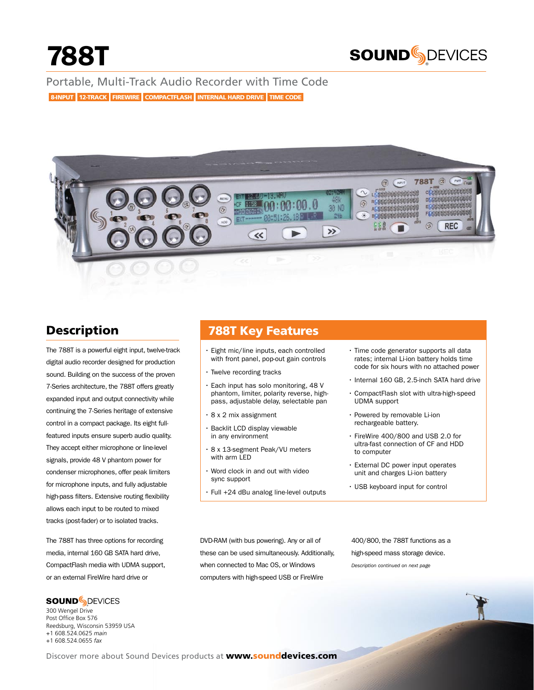

Portable, Multi-Track Audio Recorder with Time Code 8-INPUT 12-TRACK FIREWIRE COMPACTFLASH INTERNAL HARD DRIVE TIME CODE



# **Description**

The 788T is a powerful eight input, twelve-track digital audio recorder designed for production sound. Building on the success of the proven 7-Series architecture, the 788T offers greatly expanded input and output connectivity while continuing the 7-Series heritage of extensive control in a compact package. Its eight fullfeatured inputs ensure superb audio quality. They accept either microphone or line-level signals, provide 48 V phantom power for condenser microphones, offer peak limiters for microphone inputs, and fully adjustable high-pass filters. Extensive routing flexibility allows each input to be routed to mixed tracks (post-fader) or to isolated tracks.

The 788T has three options for recording media, internal 160 GB SATA hard drive, CompactFlash media with UDMA support, or an external FireWire hard drive or

# **SOUND**SDEVICES

® 300 Wengel Drive Post Office Box 576 Reedsburg, Wisconsin 53959 USA +1 608.524.0625 *main* +1 608.524.0655 *fax*

# 788T Key Features

- • Eight mic/line inputs, each controlled with front panel, pop-out gain controls
- Twelve recording tracks
- • Each input has solo monitoring, 48 V phantom, limiter, polarity reverse, highpass, adjustable delay, selectable pan
- • 8 x 2 mix assignment
- • Backlit LCD display viewable in any environment
- • 8 x 13-segment Peak/VU meters with arm LED
- • Word clock in and out with video sync support
- • Full +24 dBu analog line-level outputs
- $\cdot$  Time code generator supports all data rates; internal Li-ion battery holds time code for six hours with no attached power
- • Internal 160 GB, 2.5-inch SATA hard drive
- • CompactFlash slot with ultra-high-speed UDMA support
- • Powered by removable Li-ion rechargeable battery.
- • FireWire 400/800 and USB 2.0 for ultra-fast connection of CF and HDD to computer
- • External DC power input operates unit and charges Li-ion battery
- • USB keyboard input for control

DVD-RAM (with bus powering). Any or all of these can be used simultaneously. Additionally, when connected to Mac OS, or Windows computers with high-speed USB or FireWire

*Description continued on next page*  400/800, the 788T functions as a high-speed mass storage device.

Discover more about Sound Devices products at www.sounddevices.com